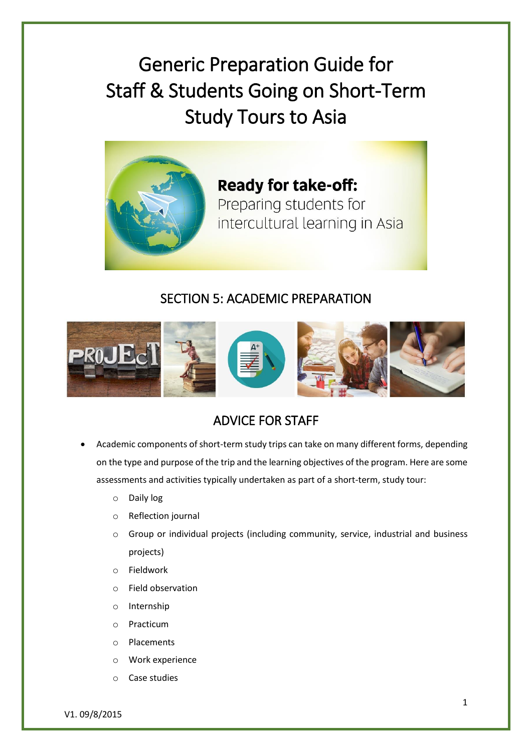Generic Preparation Guide for Staff & Students Going on Short-Term Study Tours to Asia



**Ready for take-off:** Preparing students for intercultural learning in Asia

## SECTION 5: ACADEMIC PREPARATION



# ADVICE FOR STAFF

- Academic components of short-term study trips can take on many different forms, depending on the type and purpose of the trip and the learning objectives of the program. Here are some assessments and activities typically undertaken as part of a short-term, study tour:
	- o Daily log
	- o Reflection journal
	- $\circ$  Group or individual projects (including community, service, industrial and business projects)
	- o Fieldwork
	- o Field observation
	- o Internship
	- o Practicum
	- o Placements
	- o Work experience
	- o Case studies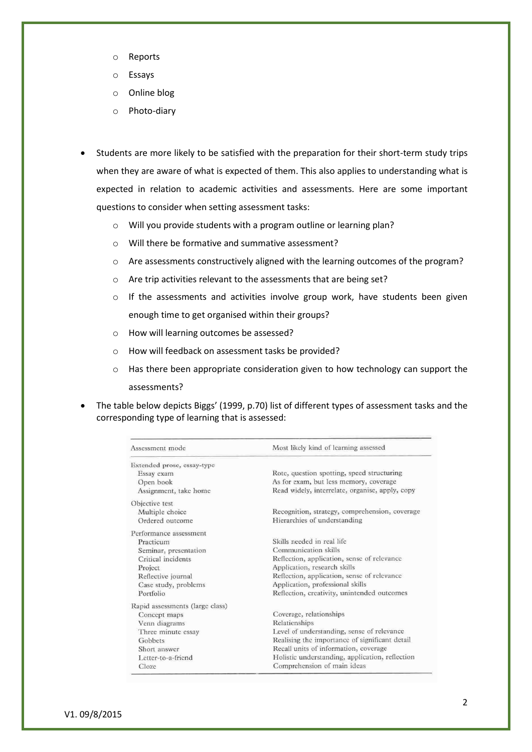- o Reports
- o Essays
- o Online blog
- o Photo-diary
- Students are more likely to be satisfied with the preparation for their short-term study trips when they are aware of what is expected of them. This also applies to understanding what is expected in relation to academic activities and assessments. Here are some important questions to consider when setting assessment tasks:
	- o Will you provide students with a program outline or learning plan?
	- o Will there be formative and summative assessment?
	- o Are assessments constructively aligned with the learning outcomes of the program?
	- o Are trip activities relevant to the assessments that are being set?
	- o If the assessments and activities involve group work, have students been given enough time to get organised within their groups?
	- o How will learning outcomes be assessed?
	- o How will feedback on assessment tasks be provided?
	- o Has there been appropriate consideration given to how technology can support the assessments?
- The table below depicts Biggs' (1999, p.70) list of different types of assessment tasks and the corresponding type of learning that is assessed:

| Assessment mode                 | Most likely kind of learning assessed           |
|---------------------------------|-------------------------------------------------|
| Extended prose, essay-type      |                                                 |
| Essay exam                      | Rote, question spotting, speed structuring      |
| Open book                       | As for exam, but less memory, coverage          |
| Assignment, take home           | Read widely, interrelate, organise, apply, copy |
| Objective test                  |                                                 |
| Multiple choice                 | Recognition, strategy, comprehension, coverage  |
| Ordered outcome                 | Hierarchies of understanding                    |
| Performance assessment          |                                                 |
| Practicum                       | Skills needed in real life                      |
| Seminar, presentation           | Communication skills                            |
| Critical incidents              | Reflection, application, sense of relevance     |
| Project                         | Application, research skills                    |
| Reflective journal              | Reflection, application, sense of relevance     |
| Case study, problems            | Application, professional skills                |
| Portfolio                       | Reflection, creativity, unintended outcomes     |
| Rapid assessments (large class) |                                                 |
| Concept maps                    | Coverage, relationships                         |
| Venn diagrams                   | Relationships                                   |
| Three minute essay              | Level of understanding, sense of relevance      |
| Gobbets                         | Realising the importance of significant detail  |
| Short answer                    | Recall units of information, coverage           |
| Letter-to-a-friend              | Holistic understanding, application, reflection |
| Cloze                           | Comprehension of main ideas                     |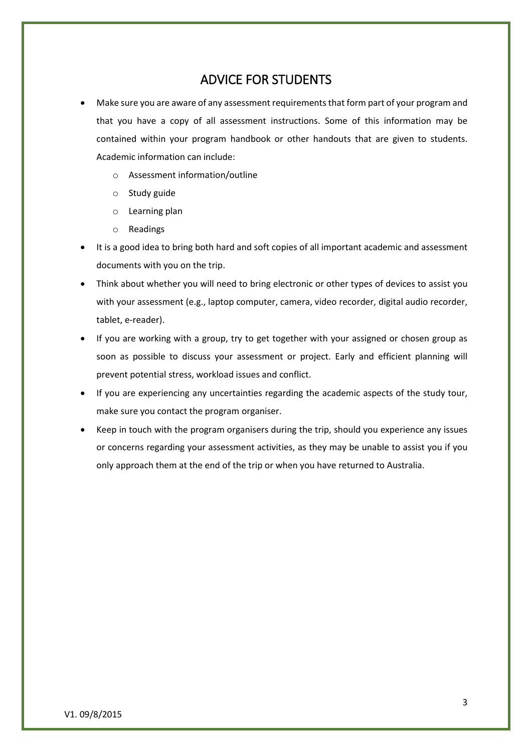### ADVICE FOR STUDENTS

- Make sure you are aware of any assessment requirements that form part of your program and that you have a copy of all assessment instructions. Some of this information may be contained within your program handbook or other handouts that are given to students. Academic information can include:
	- o Assessment information/outline
	- o Study guide
	- o Learning plan
	- o Readings
- It is a good idea to bring both hard and soft copies of all important academic and assessment documents with you on the trip.
- Think about whether you will need to bring electronic or other types of devices to assist you with your assessment (e.g., laptop computer, camera, video recorder, digital audio recorder, tablet, e-reader).
- If you are working with a group, try to get together with your assigned or chosen group as soon as possible to discuss your assessment or project. Early and efficient planning will prevent potential stress, workload issues and conflict.
- If you are experiencing any uncertainties regarding the academic aspects of the study tour, make sure you contact the program organiser.
- Keep in touch with the program organisers during the trip, should you experience any issues or concerns regarding your assessment activities, as they may be unable to assist you if you only approach them at the end of the trip or when you have returned to Australia.